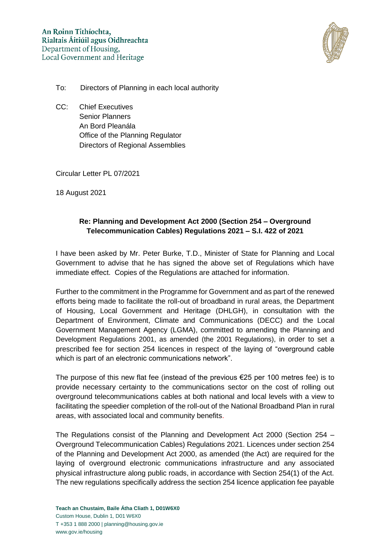

- To: Directors of Planning in each local authority
- CC: Chief Executives Senior Planners An Bord Pleanála Office of the Planning Regulator Directors of Regional Assemblies

Circular Letter PL 07/2021

18 August 2021

# **Re: Planning and Development Act 2000 (Section 254 – Overground Telecommunication Cables) Regulations 2021 – S.I. 422 of 2021**

I have been asked by Mr. Peter Burke, T.D., Minister of State for Planning and Local Government to advise that he has signed the above set of Regulations which have immediate effect. Copies of the Regulations are attached for information.

Further to the commitment in the Programme for Government and as part of the renewed efforts being made to facilitate the roll-out of broadband in rural areas, the Department of Housing, Local Government and Heritage (DHLGH), in consultation with the Department of Environment, Climate and Communications (DECC) and the Local Government Management Agency (LGMA), committed to amending the Planning and Development Regulations 2001, as amended (the 2001 Regulations), in order to set a prescribed fee for section 254 licences in respect of the laying of "overground cable which is part of an electronic communications network".

The purpose of this new flat fee (instead of the previous  $\epsilon$ 25 per 100 metres fee) is to provide necessary certainty to the communications sector on the cost of rolling out overground telecommunications cables at both national and local levels with a view to facilitating the speedier completion of the roll-out of the National Broadband Plan in rural areas, with associated local and community benefits.

The Regulations consist of the Planning and Development Act 2000 (Section 254 – Overground Telecommunication Cables) Regulations 2021. Licences under section 254 of the Planning and Development Act 2000, as amended (the Act) are required for the laying of overground electronic communications infrastructure and any associated physical infrastructure along public roads, in accordance with Section 254(1) of the Act. The new regulations specifically address the section 254 licence application fee payable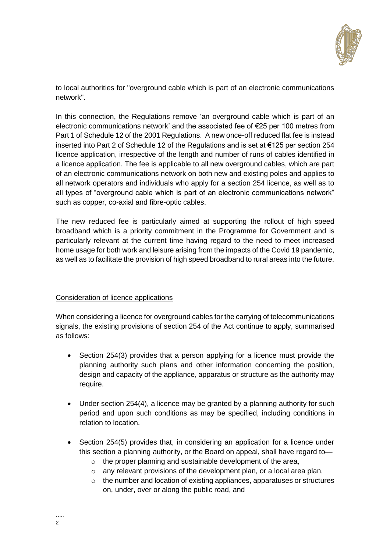

to local authorities for "overground cable which is part of an electronic communications network".

In this connection, the Regulations remove 'an overground cable which is part of an electronic communications network' and the associated fee of €25 per 100 metres from Part 1 of Schedule 12 of the 2001 Regulations. A new once-off reduced flat fee is instead inserted into Part 2 of Schedule 12 of the Regulations and is set at €125 per section 254 licence application, irrespective of the length and number of runs of cables identified in a licence application. The fee is applicable to all new overground cables, which are part of an electronic communications network on both new and existing poles and applies to all network operators and individuals who apply for a section 254 licence, as well as to all types of "overground cable which is part of an electronic communications network" such as copper, co-axial and fibre-optic cables.

The new reduced fee is particularly aimed at supporting the rollout of high speed broadband which is a priority commitment in the Programme for Government and is particularly relevant at the current time having regard to the need to meet increased home usage for both work and leisure arising from the impacts of the Covid 19 pandemic, as well as to facilitate the provision of high speed broadband to rural areas into the future.

## Consideration of licence applications

When considering a licence for overground cables for the carrying of telecommunications signals, the existing provisions of section 254 of the Act continue to apply, summarised as follows:

- Section 254(3) provides that a person applying for a licence must provide the planning authority such plans and other information concerning the position, design and capacity of the appliance, apparatus or structure as the authority may require.
- Under section 254(4), a licence may be granted by a planning authority for such period and upon such conditions as may be specified, including conditions in relation to location.
- Section 254(5) provides that, in considering an application for a licence under this section a planning authority, or the Board on appeal, shall have regard to
	- o the proper planning and sustainable development of the area,
	- o any relevant provisions of the development plan, or a local area plan,
	- o the number and location of existing appliances, apparatuses or structures on, under, over or along the public road, and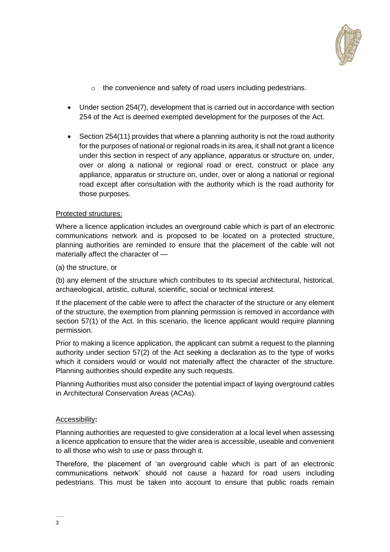

- o the convenience and safety of road users including pedestrians.
- Under section 254(7), development that is carried out in accordance with section 254 of the Act is deemed exempted development for the purposes of the Act.
- Section 254(11) provides that where a planning authority is not the road authority for the purposes of national or regional roads in its area, it shall not grant a licence under this section in respect of any appliance, apparatus or structure on, under, over or along a national or regional road or erect, construct or place any appliance, apparatus or structure on, under, over or along a national or regional road except after consultation with the authority which is the road authority for those purposes.

### Protected structures:

Where a licence application includes an overground cable which is part of an electronic communications network and is proposed to be located on a protected structure, planning authorities are reminded to ensure that the placement of the cable will not materially affect the character of —

(a) the structure, or

(b) any element of the structure which contributes to its special architectural, historical, archaeological, artistic, cultural, scientific, social or technical interest.

If the placement of the cable were to affect the character of the structure or any element of the structure, the exemption from planning permission is removed in accordance with section 57(1) of the Act. In this scenario, the licence applicant would require planning permission.

Prior to making a licence application, the applicant can submit a request to the planning authority under section 57(2) of the Act seeking a declaration as to the type of works which it considers would or would not materially affect the character of the structure. Planning authorities should expedite any such requests.

Planning Authorities must also consider the potential impact of laying overground cables in Architectural Conservation Areas (ACAs).

## Accessibility**:**

Planning authorities are requested to give consideration at a local level when assessing a licence application to ensure that the wider area is accessible, useable and convenient to all those who wish to use or pass through it.

Therefore, the placement of 'an overground cable which is part of an electronic communications network' should not cause a hazard for road users including pedestrians. This must be taken into account to ensure that public roads remain